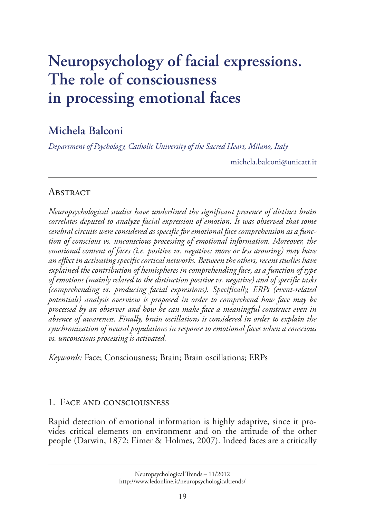# **[Neuropsychology of facial expressions.](http://www.ledonline.it/neuropsychologicaltrends/) The role of consciousness in processing emotional faces**

# **Michela Balconi**

*Department of Psychology, Catholic University of the Sacred Heart, Milano, Italy*

michela.balconi@unicatt.it

## **ABSTRACT**

*Neuropsychological studies have underlined the significant presence of distinct brain correlates deputed to analyze facial expression of emotion. It was observed that some cerebral circuits were considered as specific for emotional face comprehension as a function of conscious vs. unconscious processing of emotional information. Moreover, the emotional content of faces (i.e. positive vs. negative; more or less arousing) may have an effect in activating specific cortical networks. Between the others, recent studies have explained the contribution of hemispheres in comprehending face, as a function of type of emotions (mainly related to the distinction positive vs. negative) and of specific tasks (comprehending vs. producing facial expressions). Specifically, ERPs (event-related potentials) analysis overview is proposed in order to comprehend how face may be processed by an observer and how he can make face a meaningful construct even in absence of awareness. Finally, brain oscillations is considered in order to explain the synchronization of neural populations in response to emotional faces when a conscious vs. unconscious processing is activated.*

*Keywords:* Face; Consciousness; Brain; Brain oscillations; ERPs

### 1. Face and consciousness

Rapid detection of emotional information is highly adaptive, since it pro[vides critical elements on environment and on the attitude of the other](http://www.ledonline.it/neuropsychologicaltrends/)  people (Darwin, 1872; Eimer & Holmes, 2007). Indeed faces are a critically

Neuropsychological Trends – 11/2012 http://www.ledonline.it/neuropsychologicaltrends/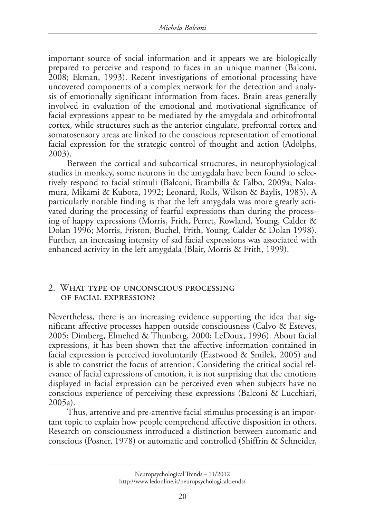important source of social information and it appears we are biologically prepared to perceive and respond to faces in an unique manner (Balconi, 2008; Ekman, 1993). Recent investigations of emotional processing have uncovered components of a complex network for the detection and analysis of emotionally significant information from faces. Brain areas generally involved in evaluation of the emotional and motivational significance of facial expressions appear to be mediated by the amygdala and orbitofrontal cortex, while structures such as the anterior cingulate, prefrontal cortex and somatosensory areas are linked to the conscious representation of emotional facial expression for the strategic control of thought and action (Adolphs, 2003).

Between the cortical and subcortical structures, in neurophysiological studies in monkey, some neurons in the amygdala have been found to selectively respond to facial stimuli (Balconi, Brambilla & Falbo, 2009a; Nakamura, Mikami & Kubota, 1992; Leonard, Rolls, Wilson & Baylis, 1985). A particularly notable finding is that the left amygdala was more greatly activated during the processing of fearful expressions than during the processing of happy expressions (Morris, Frith, Perret, Rowland, Young, Calder & Dolan 1996; Morris, Friston, Buchel, Frith, Young, Calder & Dolan 1998). Further, an increasing intensity of sad facial expressions was associated with enhanced activity in the left amygdala (Blair, Morris & Frith, 1999).

#### 2. What type of unconscious processing of facial expression?

Nevertheless, there is an increasing evidence supporting the idea that significant affective processes happen outside consciousness (Calvo & Esteves, 2005; Dimberg, Elmehed & Thunberg, 2000; LeDoux, 1996). About facial expressions, it has been shown that the affective information contained in facial expression is perceived involuntarily (Eastwood & Smilek, 2005) and is able to constrict the focus of attention. Considering the critical social relevance of facial expressions of emotion, it is not surprising that the emotions displayed in facial expression can be perceived even when subjects have no conscious experience of perceiving these expressions (Balconi & Lucchiari, 2005a).

Thus, attentive and pre-attentive facial stimulus processing is an important topic to explain how people comprehend affective disposition in others. Research on consciousness introduced a distinction between automatic and conscious (Posner, 1978) or automatic and controlled (Shiffrin & Schneider,

Neuropsychological Trends – 11/2012 http://www.ledonline.it/neuropsychologicaltrends/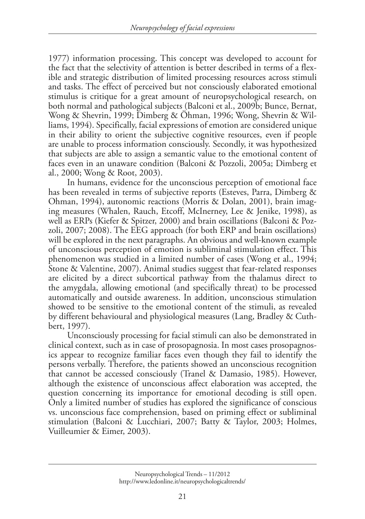1977) information processing. This concept was developed to account for the fact that the selectivity of attention is better described in terms of a flexible and strategic distribution of limited processing resources across stimuli and tasks. The effect of perceived but not consciously elaborated emotional stimulus is critique for a great amount of neuropsychological research, on both normal and pathological subjects (Balconi et al., 2009b; Bunce, Bernat, Wong & Shevrin, 1999; Dimberg & Öhman, 1996; Wong, Shevrin & Williams, 1994). Specifically, facial expressions of emotion are considered unique in their ability to orient the subjective cognitive resources, even if people are unable to process information consciously. Secondly, it was hypothesized that subjects are able to assign a semantic value to the emotional content of faces even in an unaware condition (Balconi & Pozzoli, 2005a; Dimberg et al., 2000; Wong & Root, 2003).

In humans, evidence for the unconscious perception of emotional face has been revealed in terms of subjective reports (Esteves, Parra, Dimberg & Ohman, 1994), autonomic reactions (Morris & Dolan, 2001), brain imaging measures (Whalen, Rauch, Etcoff, McInerney, Lee & Jenike, 1998), as well as ERPs (Kiefer & Spitzer, 2000) and brain oscillations (Balconi & Pozzoli, 2007; 2008). The EEG approach (for both ERP and brain oscillations) will be explored in the next paragraphs. An obvious and well-known example of unconscious perception of emotion is subliminal stimulation effect. This phenomenon was studied in a limited number of cases (Wong et al., 1994; Stone & Valentine, 2007). Animal studies suggest that fear-related responses are elicited by a direct subcortical pathway from the thalamus direct to the amygdala, allowing emotional (and specifically threat) to be processed automatically and outside awareness. In addition, unconscious stimulation showed to be sensitive to the emotional content of the stimuli, as revealed by different behavioural and physiological measures (Lang, Bradley & Cuthbert, 1997).

Unconsciously processing for facial stimuli can also be demonstrated in clinical context, such as in case of prosopagnosia. In most cases prosopagnosics appear to recognize familiar faces even though they fail to identify the persons verbally. Therefore, the patients showed an unconscious recognition that cannot be accessed consciously (Tranel & Damasio, 1985). However, although the existence of unconscious affect elaboration was accepted, the question concerning its importance for emotional decoding is still open. Only a limited number of studies has explored the significance of conscious vs. unconscious face comprehension, based on priming effect or subliminal stimulation (Balconi & Lucchiari, 2007; Batty & Taylor, 2003; Holmes, Vuilleumier & Eimer, 2003).

Neuropsychological Trends – 11/2012 http://www.ledonline.it/neuropsychologicaltrends/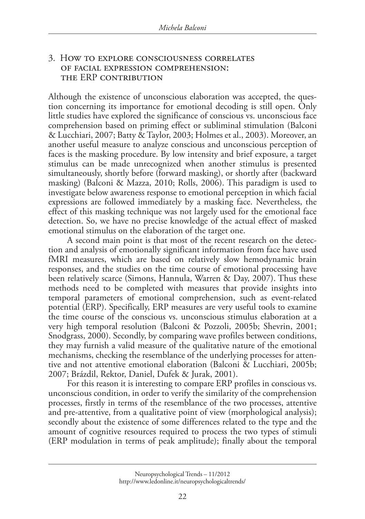#### 3. How to explore consciousness correlates of facial expression comprehension: the erp contribution

Although the existence of unconscious elaboration was accepted, the question concerning its importance for emotional decoding is still open. Only little studies have explored the significance of conscious vs. unconscious face comprehension based on priming effect or subliminal stimulation (Balconi & Lucchiari, 2007; Batty & Taylor, 2003; Holmes et al., 2003). Moreover, an another useful measure to analyze conscious and unconscious perception of faces is the masking procedure. By low intensity and brief exposure, a target stimulus can be made unrecognized when another stimulus is presented simultaneously, shortly before (forward masking), or shortly after (backward masking) (Balconi & Mazza, 2010; Rolls, 2006). This paradigm is used to investigate below awareness response to emotional perception in which facial expressions are followed immediately by a masking face. Nevertheless, the effect of this masking technique was not largely used for the emotional face detection. So, we have no precise knowledge of the actual effect of masked emotional stimulus on the elaboration of the target one.

A second main point is that most of the recent research on the detection and analysis of emotionally significant information from face have used fMRI measures, which are based on relatively slow hemodynamic brain responses, and the studies on the time course of emotional processing have been relatively scarce (Simons, Hannula, Warren & Day, 2007). Thus these methods need to be completed with measures that provide insights into temporal parameters of emotional comprehension, such as event-related potential (ERP). Specifically, ERP measures are very useful tools to examine the time course of the conscious vs. unconscious stimulus elaboration at a very high temporal resolution (Balconi & Pozzoli, 2005b; Shevrin, 2001; Snodgrass, 2000). Secondly, by comparing wave profiles between conditions, they may furnish a valid measure of the qualitative nature of the emotional mechanisms, checking the resemblance of the underlying processes for attentive and not attentive emotional elaboration (Balconi & Lucchiari, 2005b; 2007; Brázdil, Rektor, Daniel, Dufek & Jurak, 2001).

For this reason it is interesting to compare ERP profiles in conscious vs. unconscious condition, in order to verify the similarity of the comprehension processes, firstly in terms of the resemblance of the two processes, attentive and pre-attentive, from a qualitative point of view (morphological analysis); secondly about the existence of some differences related to the type and the amount of cognitive resources required to process the two types of stimuli (ERP modulation in terms of peak amplitude); finally about the temporal

Neuropsychological Trends – 11/2012 http://www.ledonline.it/neuropsychologicaltrends/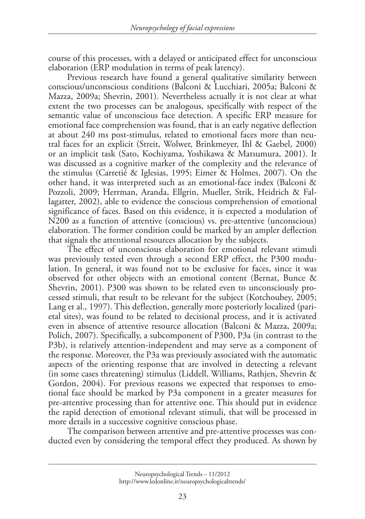course of this processes, with a delayed or anticipated effect for unconscious elaboration (ERP modulation in terms of peak latency).

Previous research have found a general qualitative similarity between conscious/unconscious conditions (Balconi & Lucchiari, 2005a; Balconi & Mazza, 2009a; Shevrin, 2001). Nevertheless actually it is not clear at what extent the two processes can be analogous, specifically with respect of the semantic value of unconscious face detection. A specific ERP measure for emotional face comprehension was found, that is an early negative deflection at about 240 ms post-stimulus, related to emotional faces more than neutral faces for an explicit (Streit, Wolwer, Brinkmeyer, Ihl & Gaebel, 2000) or an implicit task (Sato, Kochiyama, Yoshikawa & Matsumura, 2001). It was discussed as a cognitive marker of the complexity and the relevance of the stimulus (Carretié & Iglesias, 1995; Eimer & Holmes, 2007). On the other hand, it was interpreted such as an emotional-face index (Balconi & Pozzoli, 2009; Herrman, Aranda, Ellgrin, Mueller, Strik, Heidrich & Fallagatter, 2002), able to evidence the conscious comprehension of emotional significance of faces. Based on this evidence, it is expected a modulation of N200 as a function of attentive (conscious) vs. pre-attentive (unconscious) elaboration. The former condition could be marked by an ampler deflection that signals the attentional resources allocation by the subjects.

The effect of unconscious elaboration for emotional relevant stimuli was previously tested even through a second ERP effect, the P300 modulation. In general, it was found not to be exclusive for faces, since it was observed for other objects with an emotional content (Bernat, Bunce & Shevrin, 2001). P300 was shown to be related even to unconsciously processed stimuli, that result to be relevant for the subject (Kotchoubey, 2005; Lang et al., 1997). This deflection, generally more posteriorly localized (parietal sites), was found to be related to decisional process, and it is activated even in absence of attentive resource allocation (Balconi & Mazza, 2009a; Polich, 2007). Specifically, a subcomponent of P300, P3a (in contrast to the P3b), is relatively attention-independent and may serve as a component of the response. Moreover, the P3a was previously associated with the automatic aspects of the orienting response that are involved in detecting a relevant (in some cases threatening) stimulus (Liddell, Williams, Rathjen, Shevrin & Gordon, 2004). For previous reasons we expected that responses to emotional face should be marked by P3a component in a greater measures for pre-attentive processing than for attentive one. This should put in evidence the rapid detection of emotional relevant stimuli, that will be processed in more details in a successive cognitive conscious phase.

The comparison between attentive and pre-attentive processes was conducted even by considering the temporal effect they produced. As shown by

Neuropsychological Trends – 11/2012 http://www.ledonline.it/neuropsychologicaltrends/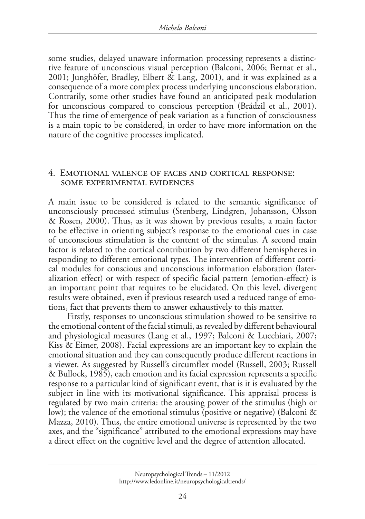some studies, delayed unaware information processing represents a distinctive feature of unconscious visual perception (Balconi, 2006; Bernat et al., 2001; Junghöfer, Bradley, Elbert & Lang, 2001), and it was explained as a consequence of a more complex process underlying unconscious elaboration. Contrarily, some other studies have found an anticipated peak modulation for unconscious compared to conscious perception (Brádzil et al., 2001). Thus the time of emergence of peak variation as a function of consciousness is a main topic to be considered, in order to have more information on the nature of the cognitive processes implicated.

#### 4. emotional valence of faces and cortical response: some experimental evidences

A main issue to be considered is related to the semantic significance of unconsciously processed stimulus (Stenberg, Lindgren, Johansson, Olsson & Rosen, 2000). Thus, as it was shown by previous results, a main factor to be effective in orienting subject's response to the emotional cues in case of unconscious stimulation is the content of the stimulus. A second main factor is related to the cortical contribution by two different hemispheres in responding to different emotional types. The intervention of different cortical modules for conscious and unconscious information elaboration (lateralization effect) or with respect of specific facial pattern (emotion-effect) is an important point that requires to be elucidated. On this level, divergent results were obtained, even if previous research used a reduced range of emotions, fact that prevents them to answer exhaustively to this matter.

Firstly, responses to unconscious stimulation showed to be sensitive to the emotional content of the facial stimuli, as revealed by different behavioural and physiological measures (Lang et al., 1997; Balconi & Lucchiari, 2007; Kiss & Eimer, 2008). Facial expressions are an important key to explain the emotional situation and they can consequently produce different reactions in a viewer. As suggested by Russell's circumflex model (Russell, 2003; Russell & Bullock, 1985), each emotion and its facial expression represents a specific response to a particular kind of significant event, that is it is evaluated by the subject in line with its motivational significance. This appraisal process is regulated by two main criteria: the arousing power of the stimulus (high or low); the valence of the emotional stimulus (positive or negative) (Balconi & Mazza, 2010). Thus, the entire emotional universe is represented by the two axes, and the "significance" attributed to the emotional expressions may have a direct effect on the cognitive level and the degree of attention allocated.

Neuropsychological Trends – 11/2012 http://www.ledonline.it/neuropsychologicaltrends/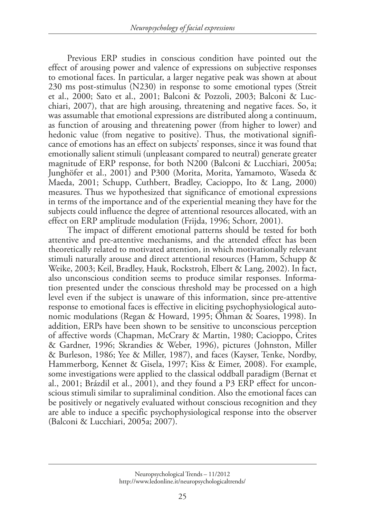Previous ERP studies in conscious condition have pointed out the effect of arousing power and valence of expressions on subjective responses to emotional faces. In particular, a larger negative peak was shown at about 230 ms post-stimulus (N230) in response to some emotional types (Streit et al., 2000; Sato et al., 2001; Balconi & Pozzoli, 2003; Balconi & Lucchiari, 2007), that are high arousing, threatening and negative faces. So, it was assumable that emotional expressions are distributed along a continuum, as function of arousing and threatening power (from higher to lower) and hedonic value (from negative to positive). Thus, the motivational significance of emotions has an effect on subjects' responses, since it was found that emotionally salient stimuli (unpleasant compared to neutral) generate greater magnitude of ERP response, for both N200 (Balconi & Lucchiari, 2005a; Junghöfer et al., 2001) and P300 (Morita, Morita, Yamamoto, Waseda & Maeda, 2001; Schupp, Cuthbert, Bradley, Cacioppo, Ito & Lang, 2000) measures. Thus we hypothesized that significance of emotional expressions in terms of the importance and of the experiential meaning they have for the subjects could influence the degree of attentional resources allocated, with an effect on ERP amplitude modulation (Frijda, 1996; Schorr, 2001).

The impact of different emotional patterns should be tested for both attentive and pre-attentive mechanisms, and the attended effect has been theoretically related to motivated attention, in which motivationally relevant stimuli naturally arouse and direct attentional resources (Hamm, Schupp & Weike, 2003; Keil, Bradley, Hauk, Rockstroh, Elbert & Lang, 2002). In fact, also unconscious condition seems to produce similar responses. Information presented under the conscious threshold may be processed on a high level even if the subject is unaware of this information, since pre-attentive response to emotional faces is effective in eliciting psychophysiological autonomic modulations (Regan & Howard, 1995; Öhman & Soares, 1998). In addition, ERPs have been shown to be sensitive to unconscious perception of affective words (Chapman, McCrary & Martin, 1980; Cacioppo, Crites & Gardner, 1996; Skrandies & Weber, 1996), pictures (Johnston, Miller & Burleson, 1986; Yee & Miller, 1987), and faces (Kayser, Tenke, Nordby, Hammerborg, Kennet & Gisela, 1997; Kiss & Eimer, 2008). For example, some investigations were applied to the classical oddball paradigm (Bernat et al., 2001; Brázdil et al., 2001), and they found a P3 ERP effect for unconscious stimuli similar to supraliminal condition. Also the emotional faces can be positively or negatively evaluated without conscious recognition and they are able to induce a specific psychophysiological response into the observer (Balconi & Lucchiari, 2005a; 2007).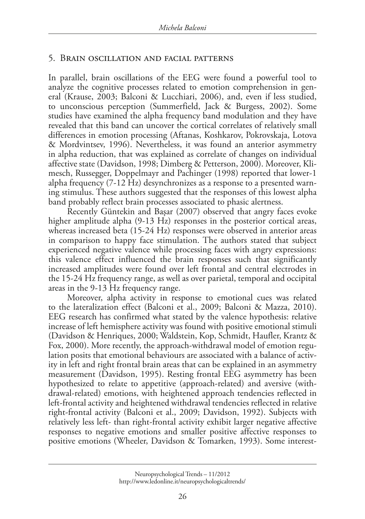#### 5. Brain oscillation and facial patterns

In parallel, brain oscillations of the EEG were found a powerful tool to analyze the cognitive processes related to emotion comprehension in general (Krause, 2003; Balconi & Lucchiari, 2006), and, even if less studied, to unconscious perception (Summerfield, Jack & Burgess, 2002). Some studies have examined the alpha frequency band modulation and they have revealed that this band can uncover the cortical correlates of relatively small differences in emotion processing (Aftanas, Koshkarov, Pokrovskaja, Lotova & Mordvintsev, 1996). Nevertheless, it was found an anterior asymmetry in alpha reduction, that was explained as correlate of changes on individual affective state (Davidson, 1998; Dimberg & Petterson, 2000). Moreover, Klimesch, Russegger, Doppelmayr and Pachinger (1998) reported that lower-1 alpha frequency (7-12 Hz) desynchronizes as a response to a presented warning stimulus. These authors suggested that the responses of this lowest alpha band probably reflect brain processes associated to phasic alertness.

Recently Güntekin and Başar (2007) observed that angry faces evoke higher amplitude alpha (9-13 Hz) responses in the posterior cortical areas, whereas increased beta (15-24 Hz) responses were observed in anterior areas in comparison to happy face stimulation. The authors stated that subject experienced negative valence while processing faces with angry expressions: this valence effect influenced the brain responses such that significantly increased amplitudes were found over left frontal and central electrodes in the 15-24 Hz frequency range, as well as over parietal, temporal and occipital areas in the 9-13 Hz frequency range.

Moreover, alpha activity in response to emotional cues was related to the lateralization effect (Balconi et al., 2009; Balconi & Mazza, 2010). EEG research has confirmed what stated by the valence hypothesis: relative increase of left hemisphere activity was found with positive emotional stimuli (Davidson & Henriques, 2000; Waldstein, Kop, Schmidt, Haufler, Krantz & Fox, 2000). More recently, the approach-withdrawal model of emotion regulation posits that emotional behaviours are associated with a balance of activity in left and right frontal brain areas that can be explained in an asymmetry measurement (Davidson, 1995). Resting frontal EEG asymmetry has been hypothesized to relate to appetitive (approach-related) and aversive (withdrawal-related) emotions, with heightened approach tendencies reflected in left-frontal activity and heightened withdrawal tendencies reflected in relative right-frontal activity (Balconi et al., 2009; Davidson, 1992). Subjects with relatively less left- than right-frontal activity exhibit larger negative affective responses to negative emotions and smaller positive affective responses to positive emotions (Wheeler, Davidson & Tomarken, 1993). Some interest-

Neuropsychological Trends – 11/2012 http://www.ledonline.it/neuropsychologicaltrends/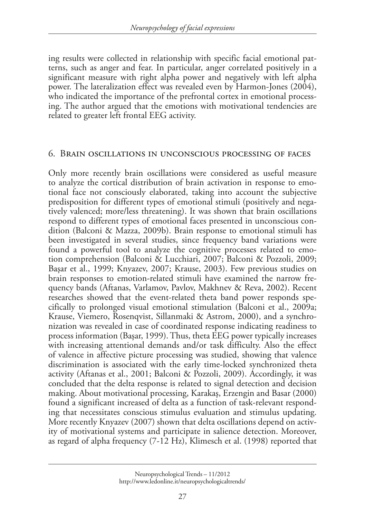ing results were collected in relationship with specific facial emotional patterns, such as anger and fear. In particular, anger correlated positively in a significant measure with right alpha power and negatively with left alpha power. The lateralization effect was revealed even by Harmon-Jones (2004), who indicated the importance of the prefrontal cortex in emotional processing. The author argued that the emotions with motivational tendencies are related to greater left frontal EEG activity.

#### 6. Brain oscillations in unconscious processing of faces

Only more recently brain oscillations were considered as useful measure to analyze the cortical distribution of brain activation in response to emotional face not consciously elaborated, taking into account the subjective predisposition for different types of emotional stimuli (positively and negatively valenced; more/less threatening). It was shown that brain oscillations respond to different types of emotional faces presented in unconscious condition (Balconi & Mazza, 2009b). Brain response to emotional stimuli has been investigated in several studies, since frequency band variations were found a powerful tool to analyze the cognitive processes related to emotion comprehension (Balconi & Lucchiari, 2007; Balconi & Pozzoli, 2009; Başar et al., 1999; Knyazev, 2007; Krause, 2003). Few previous studies on brain responses to emotion-related stimuli have examined the narrow frequency bands (Aftanas, Varlamov, Pavlov, Makhnev & Reva, 2002). Recent researches showed that the event-related theta band power responds specifically to prolonged visual emotional stimulation (Balconi et al., 2009a; Krause, Viemero, Rosenqvist, Sillanmaki & Astrom, 2000), and a synchronization was revealed in case of coordinated response indicating readiness to process information (Başar, 1999). Thus, theta EEG power typically increases with increasing attentional demands and/or task difficulty. Also the effect of valence in affective picture processing was studied, showing that valence discrimination is associated with the early time-locked synchronized theta activity (Aftanas et al., 2001; Balconi & Pozzoli, 2009). Accordingly, it was concluded that the delta response is related to signal detection and decision making. About motivational processing, Karakaş, Erzengin and Basar (2000) found a significant increased of delta as a function of task-relevant responding that necessitates conscious stimulus evaluation and stimulus updating. More recently Knyazev (2007) shown that delta oscillations depend on activity of motivational systems and participate in salience detection. Moreover, as regard of alpha frequency (7-12 Hz), Klimesch et al. (1998) reported that

Neuropsychological Trends – 11/2012 http://www.ledonline.it/neuropsychologicaltrends/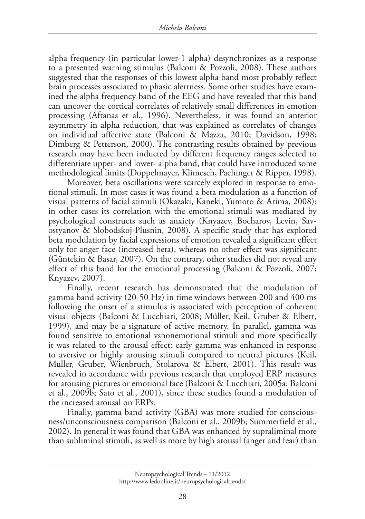alpha frequency (in particular lower-1 alpha) desynchronizes as a response to a presented warning stimulus (Balconi & Pozzoli, 2008). These authors suggested that the responses of this lowest alpha band most probably reflect brain processes associated to phasic alertness. Some other studies have examined the alpha frequency band of the EEG and have revealed that this band can uncover the cortical correlates of relatively small differences in emotion processing (Aftanas et al., 1996). Nevertheless, it was found an anterior asymmetry in alpha reduction, that was explained as correlates of changes on individual affective state (Balconi & Mazza, 2010; Davidson, 1998; Dimberg & Petterson, 2000). The contrasting results obtained by previous research may have been inducted by different frequency ranges selected to differentiate upper- and lower- alpha band, that could have introduced some methodological limits (Doppelmayer, Klimesch, Pachinger & Ripper, 1998).

Moreover, beta oscillations were scarcely explored in response to emotional stimuli. In most cases it was found a beta modulation as a function of visual patterns of facial stimuli (Okazaki, Kaneki, Yumoto & Arima, 2008): in other cases its correlation with the emotional stimuli was mediated by psychological constructs such as anxiety (Knyazev, Bocharov, Levin, Savostyanov & Slobodskoj-Plusnin, 2008). A specific study that has explored beta modulation by facial expressions of emotion revealed a significant effect only for anger face (increased beta), whereas no other effect was significant (Güntekin & Basar, 2007). On the contrary, other studies did not reveal any effect of this band for the emotional processing (Balconi & Pozzoli, 2007; Knyazev, 2007).

Finally, recent research has demonstrated that the modulation of gamma band activity (20-50 Hz) in time windows between 200 and 400 ms following the onset of a stimulus is associated with perception of coherent visual objects (Balconi & Lucchiari, 2008; Müller, Keil, Gruber & Elbert, 1999), and may be a signature of active memory. In parallel, gamma was found sensitive to emotional vsnonemotional stimuli and more specifically it was related to the arousal effect: early gamma was enhanced in response to aversive or highly arousing stimuli compared to neutral pictures (Keil, Muller, Gruber, Wienbruch, Stolarova & Elbert, 2001). This result was revealed in accordance with previous research that employed ERP measures for arousing pictures or emotional face (Balconi & Lucchiari, 2005a; Balconi et al., 2009b; Sato et al., 2001), since these studies found a modulation of the increased arousal on ERPs.

Finally, gamma band activity (GBA) was more studied for consciousness/unconsciousness comparison (Balconi et al., 2009b; Summerfield et al., 2002). In general it was found that GBA was enhanced by supraliminal more than subliminal stimuli, as well as more by high arousal (anger and fear) than

Neuropsychological Trends – 11/2012 http://www.ledonline.it/neuropsychologicaltrends/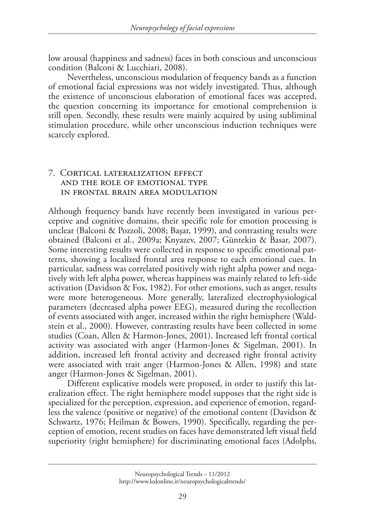low arousal (happiness and sadness) faces in both conscious and unconscious condition (Balconi & Lucchiari, 2008).

Nevertheless, unconscious modulation of frequency bands as a function of emotional facial expressions was not widely investigated. Thus, although the existence of unconscious elaboration of emotional faces was accepted, the question concerning its importance for emotional comprehension is still open. Secondly, these results were mainly acquired by using subliminal stimulation procedure, while other unconscious induction techniques were scarcely explored.

#### 7. Cortical lateralization effect and the role of emotional type in frontal brain area modulation

Although frequency bands have recently been investigated in various perceptive and cognitive domains, their specific role for emotion processing is unclear (Balconi & Pozzoli, 2008; Başar, 1999), and contrasting results were obtained (Balconi et al., 2009a; Knyazev, 2007; Güntekin & Basar, 2007). Some interesting results were collected in response to specific emotional patterns, showing a localized frontal area response to each emotional cues. In particular, sadness was correlated positively with right alpha power and negatively with left alpha power, whereas happiness was mainly related to left-side activation (Davidson & Fox, 1982). For other emotions, such as anger, results were more heterogeneous. More generally, lateralized electrophysiological parameters (decreased alpha power EEG), measured during the recollection of events associated with anger, increased within the right hemisphere (Waldstein et al., 2000). However, contrasting results have been collected in some studies (Coan, Allen & Harmon-Jones, 2001). Increased left frontal cortical activity was associated with anger (Harmon-Jones & Sigelman, 2001). In addition, increased left frontal activity and decreased right frontal activity were associated with trait anger (Harmon-Jones & Allen, 1998) and state anger (Harmon-Jones & Sigelman, 2001).

Different explicative models were proposed, in order to justify this lateralization effect. The right hemisphere model supposes that the right side is specialized for the perception, expression, and experience of emotion, regardless the valence (positive or negative) of the emotional content (Davidson & Schwartz, 1976; Heilman & Bowers, 1990). Specifically, regarding the perception of emotion, recent studies on faces have demonstrated left visual field superiority (right hemisphere) for discriminating emotional faces (Adolphs,

Neuropsychological Trends – 11/2012 http://www.ledonline.it/neuropsychologicaltrends/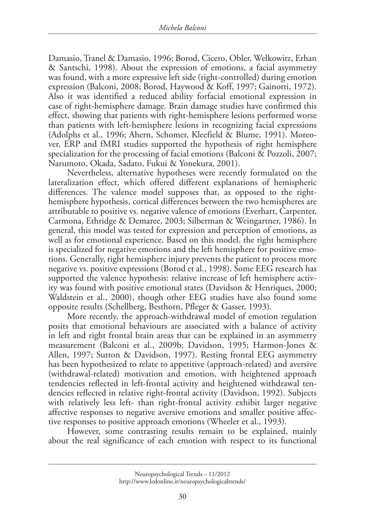Damasio, Tranel & Damasio, 1996; Borod, Cicero, Obler, Welkowitz, Erhan & Santschi, 1998). About the expression of emotions, a facial asymmetry was found, with a more expressive left side (right-controlled) during emotion expression (Balconi, 2008; Borod, Haywood & Koff, 1997; Gainotti, 1972). Also it was identified a reduced ability forfacial emotional expression in case of right-hemisphere damage. Brain damage studies have confirmed this effect, showing that patients with right-hemisphere lesions performed worse than patients with left-hemisphere lesions in recognizing facial expressions (Adolphs et al., 1996; Ahern, Schomer, Kleefield & Blume, 1991). Moreover, ERP and fMRI studies supported the hypothesis of right hemisphere specialization for the processing of facial emotions (Balconi & Pozzoli, 2007; Narumoto, Okada, Sadato, Fukui & Yonekura, 2001).

Nevertheless, alternative hypotheses were recently formulated on the lateralization effect, which offered different explanations of hemispheric differences. The valence model supposes that, as opposed to the righthemisphere hypothesis, cortical differences between the two hemispheres are attributable to positive vs. negative valence of emotions (Everhart, Carpenter, Carmona, Ethridge & Demaree, 2003; Silberman & Weingartner, 1986). In general, this model was tested for expression and perception of emotions, as well as for emotional experience. Based on this model, the right hemisphere is specialized for negative emotions and the left hemisphere for positive emotions. Generally, right hemisphere injury prevents the patient to process more negative vs. positive expressions (Borod et al., 1998). Some EEG research has supported the valence hypothesis: relative increase of left hemisphere activity was found with positive emotional states (Davidson & Henriques, 2000; Waldstein et al., 2000), though other EEG studies have also found some opposite results (Schellberg, Besthorn, Pfleger & Gasser, 1993).

More recently, the approach-withdrawal model of emotion regulation posits that emotional behaviours are associated with a balance of activity in left and right frontal brain areas that can be explained in an asymmetry measurement (Balconi et al., 2009b; Davidson, 1995; Harmon-Jones & Allen, 1997; Sutton & Davidson, 1997). Resting frontal EEG asymmetry has been hypothesized to relate to appetitive (approach-related) and aversive (withdrawal-related) motivation and emotion, with heightened approach tendencies reflected in left-frontal activity and heightened withdrawal tendencies reflected in relative right-frontal activity (Davidson, 1992). Subjects with relatively less left- than right-frontal activity exhibit larger negative affective responses to negative aversive emotions and smaller positive affective responses to positive approach emotions (Wheeler et al., 1993).

However, some contrasting results remain to be explained, mainly about the real significance of each emotion with respect to its functional

Neuropsychological Trends – 11/2012 http://www.ledonline.it/neuropsychologicaltrends/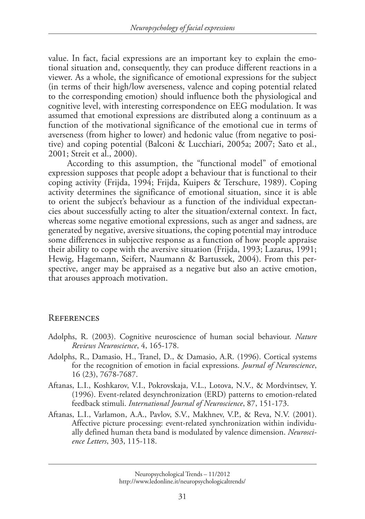value. In fact, facial expressions are an important key to explain the emotional situation and, consequently, they can produce different reactions in a viewer. As a whole, the significance of emotional expressions for the subject (in terms of their high/low averseness, valence and coping potential related to the corresponding emotion) should influence both the physiological and cognitive level, with interesting correspondence on EEG modulation. It was assumed that emotional expressions are distributed along a continuum as a function of the motivational significance of the emotional cue in terms of averseness (from higher to lower) and hedonic value (from negative to positive) and coping potential (Balconi & Lucchiari, 2005a; 2007; Sato et al., 2001; Streit et al., 2000).

According to this assumption, the "functional model" of emotional expression supposes that people adopt a behaviour that is functional to their coping activity (Frijda, 1994; Frijda, Kuipers & Terschure, 1989). Coping activity determines the significance of emotional situation, since it is able to orient the subject's behaviour as a function of the individual expectancies about successfully acting to alter the situation/external context. In fact, whereas some negative emotional expressions, such as anger and sadness, are generated by negative, aversive situations, the coping potential may introduce some differences in subjective response as a function of how people appraise their ability to cope with the aversive situation (Frijda, 1993; Lazarus, 1991; Hewig, Hagemann, Seifert, Naumann & Bartussek, 2004). From this perspective, anger may be appraised as a negative but also an active emotion, that arouses approach motivation.

#### **REFERENCES**

- Adolphs, R. (2003). Cognitive neuroscience of human social behaviour. *Nature Reviews Neuroscience*, 4, 165-178.
- Adolphs, R., Damasio, H., Tranel, D., & Damasio, A.R. (1996). Cortical systems for the recognition of emotion in facial expressions. *Journal of Neuroscience*, 16 (23), 7678-7687.
- Aftanas, L.I., Koshkarov, V.I., Pokrovskaja, V.L., Lotova, N.V., & Mordvintsev, Y. (1996). Event-related desynchronization (ERD) patterns to emotion-related feedback stimuli. *International Journal of Neuroscience*, 87, 151-173.
- Aftanas, L.I., Varlamon, A.A., Pavlov, S.V., Makhnev, V.P., & Reva, N.V. (2001). Affective picture processing: event-related synchronization within individually defined human theta band is modulated by valence dimension. *Neuroscience Letters*, 303, 115-118.

Neuropsychological Trends – 11/2012 http://www.ledonline.it/neuropsychologicaltrends/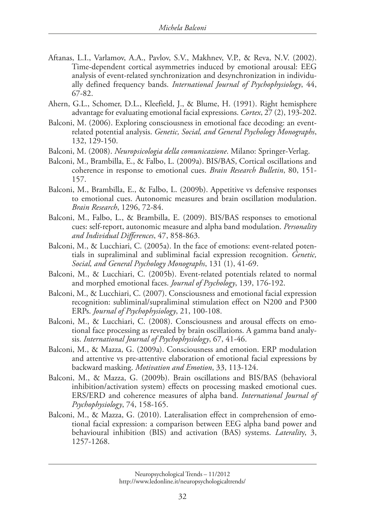- Aftanas, L.I., Varlamov, A.A., Pavlov, S.V., Makhnev, V.P., & Reva, N.V. (2002). Time-dependent cortical asymmetries induced by emotional arousal: EEG analysis of event-related synchronization and desynchronization in individually defined frequency bands. *International Journal of Psychophysiology*, 44, 67-82.
- Ahern, G.L., Schomer, D.L., Kleefield, J., & Blume, H. (1991). Right hemisphere advantage for evaluating emotional facial expressions. *Cortex*, 27 (2), 193-202.
- Balconi, M. (2006). Exploring consciousness in emotional face decoding: an eventrelated potential analysis. *Genetic, Social, and General Psychology Monographs*, 132, 129-150.
- Balconi, M. (2008). *Neuropsicologia della comunicazione*. Milano: Springer-Verlag.
- Balconi, M., Brambilla, E., & Falbo, L. (2009a). BIS/BAS, Cortical oscillations and coherence in response to emotional cues. *Brain Research Bulletin*, 80, 151- 157.
- Balconi, M., Brambilla, E., & Falbo, L. (2009b). Appetitive vs defensive responses to emotional cues. Autonomic measures and brain oscillation modulation. *Brain Research*, 1296, 72-84.
- Balconi, M., Falbo, L., & Brambilla, E. (2009). BIS/BAS responses to emotional cues: self-report, autonomic measure and alpha band modulation. *Personality and Individual Differences*, 47, 858-863.
- Balconi, M., & Lucchiari, C. (2005a). In the face of emotions: event-related potentials in supraliminal and subliminal facial expression recognition. *Genetic, Social, and General Psychology Monographs*, 131 (1), 41-69.
- Balconi, M., & Lucchiari, C. (2005b). Event-related potentials related to normal and morphed emotional faces. *Journal of Psychology*, 139, 176-192.
- Balconi, M., & Lucchiari, C. (2007). Consciousness and emotional facial expression recognition: subliminal/supraliminal stimulation effect on N200 and P300 ERPs. *Journal of Psychophysiology*, 21, 100-108.
- Balconi, M., & Lucchiari, C. (2008). Consciousness and arousal effects on emotional face processing as revealed by brain oscillations. A gamma band analysis. *International Journal of Psychophysiology*, 67, 41-46.
- Balconi, M., & Mazza, G. (2009a). Consciousness and emotion. ERP modulation and attentive vs pre-attentive elaboration of emotional facial expressions by backward masking. *Motivation and Emotion*, 33, 113-124.
- Balconi, M., & Mazza, G. (2009b). Brain oscillations and BIS/BAS (behavioral inhibition/activation system) effects on processing masked emotional cues. ERS/ERD and coherence measures of alpha band. *International Journal of Psychophysiology*, 74, 158-165.
- Balconi, M., & Mazza, G. (2010). Lateralisation effect in comprehension of emotional facial expression: a comparison between EEG alpha band power and behavioural inhibition (BIS) and activation (BAS) systems. *Lateralit*y, 3, 1257-1268.

Neuropsychological Trends – 11/2012 http://www.ledonline.it/neuropsychologicaltrends/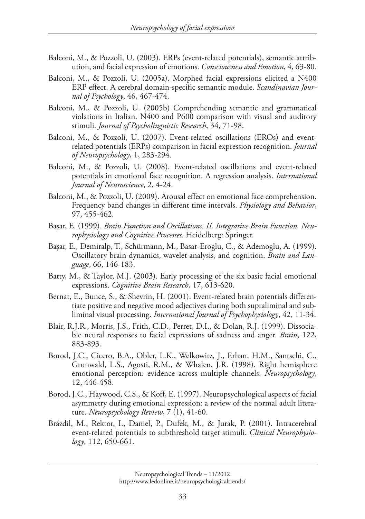- Balconi, M., & Pozzoli, U. (2003). ERPs (event-related potentials), semantic attribution, and facial expression of emotions. *Consciousness and Emotion*, 4, 63-80.
- Balconi, M., & Pozzoli, U. (2005a). Morphed facial expressions elicited a N400 ERP effect. A cerebral domain-specific semantic module. *Scandinavian Journal of Psychology*, 46, 467-474.
- Balconi, M., & Pozzoli, U. (2005b) Comprehending semantic and grammatical violations in Italian. N400 and P600 comparison with visual and auditory stimuli. *Journal of Psycholinguistic Research*, 34, 71-98.
- Balconi, M., & Pozzoli, U. (2007). Event-related oscillations (EROs) and eventrelated potentials (ERPs) comparison in facial expression recognition. *Journal of Neuropsychology*, 1, 283-294.
- Balconi, M., & Pozzoli, U. (2008). Event-related oscillations and event-related potentials in emotional face recognition. A regression analysis. *International Journal of Neuroscience*, 2, 4-24.
- Balconi, M., & Pozzoli, U. (2009). Arousal effect on emotional face comprehension. Frequency band changes in different time intervals. *Physiology and Behavior*, 97, 455-462.
- Başar, E. (1999). *Brain Function and Oscillations. II. Integrative Brain Function. Neurophysiology and Cognitive Processes*. Heidelberg: Springer.
- Başar, E., Demiralp, T., Schürmann, M., Basar-Eroglu, C., & Ademoglu, A. (1999). Oscillatory brain dynamics, wavelet analysis, and cognition. *Brain and Language*, 66, 146-183.
- Batty, M., & Taylor, M.J. (2003). Early processing of the six basic facial emotional expressions. *Cognitive Brain Research*, 17, 613-620.
- Bernat, E., Bunce, S., & Shevrin, H. (2001). Event-related brain potentials differentiate positive and negative mood adjectives during both supraliminal and subliminal visual processing. *International Journal of Psychophysiology*, 42, 11-34.
- Blair, R.J.R., Morris, J.S., Frith, C.D., Perret, D.I., & Dolan, R.J. (1999). Dissociable neural responses to facial expressions of sadness and anger. *Brain*, 122, 883-893.
- Borod, J.C., Cicero, B.A., Obler, L.K., Welkowitz, J., Erhan, H.M., Santschi, C., Grunwald, L.S., Agosti, R.M., & Whalen, J.R. (1998). Right hemisphere emotional perception: evidence across multiple channels. *Neuropsychology*, 12, 446-458.
- Borod, J.C., Haywood, C.S., & Koff, E. (1997). Neuropsychological aspects of facial asymmetry during emotional expression: a review of the normal adult literature. *Neuropsychology Review*, 7 (1), 41-60.
- Brázdil, M., Rektor, I., Daniel, P., Dufek, M., & Jurak, P. (2001). Intracerebral event-related potentials to subthreshold target stimuli. *Clinical Neurophysiology*, 112, 650-661.

Neuropsychological Trends – 11/2012 http://www.ledonline.it/neuropsychologicaltrends/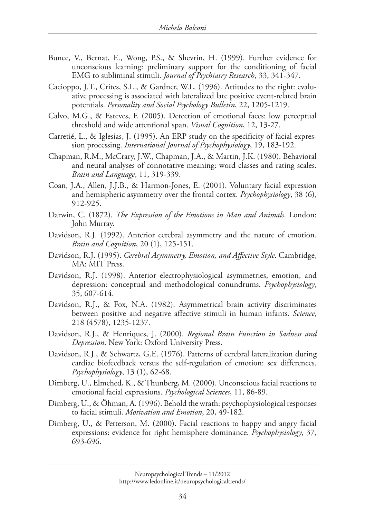- Bunce, V., Bernat, E., Wong, P.S., & Shevrin, H. (1999). Further evidence for unconscious learning: preliminary support for the conditioning of facial EMG to subliminal stimuli. *Journal of Psychiatry Research*, 33, 341-347.
- Cacioppo, J.T., Crites, S.L., & Gardner, W.L. (1996). Attitudes to the right: evaluative processing is associated with lateralized late positive event-related brain potentials. *Personality and Social Psychology Bulletin*, 22, 1205-1219.
- Calvo, M.G., & Esteves, F. (2005). Detection of emotional faces: low perceptual threshold and wide attentional span. *Visual Cognition*, 12, 13-27.
- Carretié, L., & Iglesias, J. (1995). An ERP study on the specificity of facial expression processing. *International Journal of Psychophysiology*, 19, 183-192.
- Chapman, R.M., McCrary, J.W., Chapman, J.A., & Martin, J.K. (1980). Behavioral and neural analyses of connotative meaning: word classes and rating scales. *Brain and Language*, 11, 319-339.
- Coan, J.A., Allen, J.J.B., & Harmon-Jones, E. (2001). Voluntary facial expression and hemispheric asymmetry over the frontal cortex. *Psychophysiology*, 38 (6), 912-925.
- Darwin, C. (1872). *The Expression of the Emotions in Man and Animals*. London: John Murray.
- Davidson, R.J. (1992). Anterior cerebral asymmetry and the nature of emotion. *Brain and Cognition*, 20 (1), 125-151.
- Davidson, R.J. (1995). *Cerebral Asymmetry, Emotion, and Affective Style*. Cambridge, MA: MIT Press.
- Davidson, R.J. (1998). Anterior electrophysiological asymmetries, emotion, and depression: conceptual and methodological conundrums. *Psychophysiology*, 35, 607-614.
- Davidson, R.J., & Fox, N.A. (1982). Asymmetrical brain activity discriminates between positive and negative affective stimuli in human infants. *Science*, 218 (4578), 1235-1237.
- Davidson, R.J., & Henriques, J. (2000). *Regional Brain Function in Sadness and Depression*. New York: Oxford University Press.
- Davidson, R.J., & Schwartz, G.E. (1976). Patterns of cerebral lateralization during cardiac biofeedback versus the self-regulation of emotion: sex differences. *Psychophysiology*, 13 (1), 62-68.
- Dimberg, U., Elmehed, K., & Thunberg, M. (2000). Unconscious facial reactions to emotional facial expressions. *Psychological Sciences*, 11, 86-89.
- Dimberg, U., & Öhman, A. (1996). Behold the wrath: psychophysiological responses to facial stimuli. *Motivation and Emotion*, 20, 49-182.
- Dimberg, U., & Petterson, M. (2000). Facial reactions to happy and angry facial expressions: evidence for right hemisphere dominance. *Psychophysiology*, 37, 693-696.

Neuropsychological Trends – 11/2012 http://www.ledonline.it/neuropsychologicaltrends/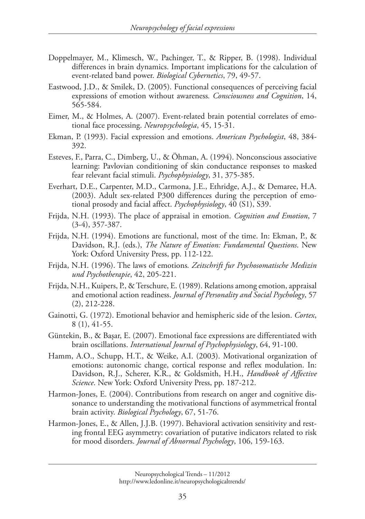- Doppelmayer, M., Klimesch, W., Pachinger, T., & Ripper, B. (1998). Individual differences in brain dynamics. Important implications for the calculation of event-related band power. *Biological Cybernetics*, 79, 49-57.
- Eastwood, J.D., & Smilek, D. (2005). Functional consequences of perceiving facial expressions of emotion without awareness*. Consciousness and Cognition*, 14, 565-584.
- Eimer, M., & Holmes, A. (2007). Event-related brain potential correlates of emotional face processing. *Neuropsychologia*, 45, 15-31.
- Ekman, P. (1993). Facial expression and emotions. *American Psychologist*, 48, 384- 392.
- Esteves, F., Parra, C., Dimberg, U., & Öhman, A. (1994). Nonconscious associative learning: Pavlovian conditioning of skin conductance responses to masked fear relevant facial stimuli. *Psychophysiology*, 31, 375-385.
- Everhart, D.E., Carpenter, M.D., Carmona, J.E., Ethridge, A.J., & Demaree, H.A. (2003). Adult sex-related P300 differences during the perception of emotional prosody and facial affect. *Psychophysiology*, 40 (S1), S39.
- Frijda, N.H. (1993). The place of appraisal in emotion. *Cognition and Emotion*, 7 (3-4), 357-387.
- Frijda, N.H. (1994). Emotions are functional, most of the time. In: Ekman, P., & Davidson, R.J. (eds.), *The Nature of Emotion: Fundamental Questions*. New York: Oxford University Press, pp. 112-122.
- Frijda, N.H. (1996). The laws of emotions*. Zeitschrift fur Psychosomatische Medizin und Psychotherapie*, 42, 205-221.
- Frijda, N.H., Kuipers, P., & Terschure, E. (1989). Relations among emotion, appraisal and emotional action readiness. *Journal of Personality and Social Psychology*, 57 (2), 212-228.
- Gainotti, G. (1972). Emotional behavior and hemispheric side of the lesion. *Cortex*, 8 (1), 41-55.
- Güntekin, B., & Başar, E. (2007). Emotional face expressions are differentiated with brain oscillations. *International Journal of Psychophysiology*, 64, 91-100.
- Hamm, A.O., Schupp, H.T., & Weike, A.I. (2003). Motivational organization of emotions: autonomic change, cortical response and reflex modulation. In: Davidson, R.J., Scherer, K.R., & Goldsmith, H.H., *Handbook of Affective Science*. New York: Oxford University Press, pp. 187-212.
- Harmon-Jones, E. (2004). Contributions from research on anger and cognitive dissonance to understanding the motivational functions of asymmetrical frontal brain activity. *Biological Psychology*, 67, 51-76.
- Harmon-Jones, E., & Allen, J.J.B. (1997). Behavioral activation sensitivity and resting frontal EEG asymmetry: covariation of putative indicators related to risk for mood disorders. *Journal of Abnormal Psychology*, 106, 159-163.

Neuropsychological Trends – 11/2012 http://www.ledonline.it/neuropsychologicaltrends/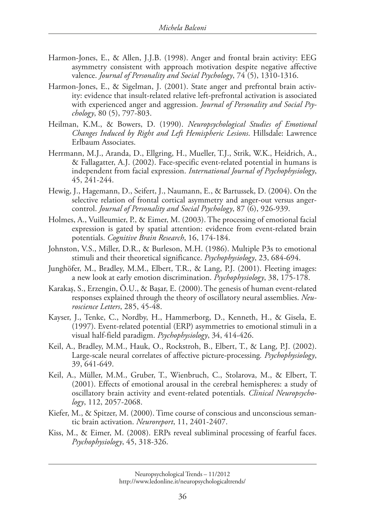- Harmon-Jones, E., & Allen, J.J.B. (1998). Anger and frontal brain activity: EEG asymmetry consistent with approach motivation despite negative affective valence. *Journal of Personality and Social Psychology*, 74 (5), 1310-1316.
- Harmon-Jones, E., & Sigelman, J. (2001). State anger and prefrontal brain activity: evidence that insult-related relative left-prefrontal activation is associated with experienced anger and aggression. *Journal of Personality and Social Psychology*, 80 (5), 797-803.
- Heilman, K.M., & Bowers, D. (1990). *Neuropsychological Studies of Emotional Changes Induced by Right and Left Hemispheric Lesions*. Hillsdale: Lawrence Erlbaum Associates.
- Herrmann, M.J., Aranda, D., Ellgring, H., Mueller, T.J., Strik, W.K., Heidrich, A., & Fallagatter, A.J. (2002). Face-specific event-related potential in humans is independent from facial expression. *International Journal of Psychophysiology*, 45, 241-244.
- Hewig, J., Hagemann, D., Seifert, J., Naumann, E., & Bartussek, D. (2004). On the selective relation of frontal cortical asymmetry and anger-out versus angercontrol. *Journal of Personality and Social Psychology*, 87 (6), 926-939.
- Holmes, A., Vuilleumier, P., & Eimer, M. (2003). The processing of emotional facial expression is gated by spatial attention: evidence from event-related brain potentials. *Cognitive Brain Research*, 16, 174-184.
- Johnston, V.S., Miller, D.R., & Burleson, M.H. (1986). Multiple P3s to emotional stimuli and their theoretical significance. *Psychophysiology*, 23, 684-694.
- Junghöfer, M., Bradley, M.M., Elbert, T.R., & Lang, P.J. (2001). Fleeting images: a new look at early emotion discrimination. *Psychophysiology*, 38, 175-178.
- Karakaş, S., Erzengin, Ö.U., & Başar, E. (2000). The genesis of human event-related responses explained through the theory of oscillatory neural assemblies. *Neuroscience Letters*, 285, 45-48.
- Kayser, J., Tenke, C., Nordby, H., Hammerborg, D., Kenneth, H., & Gisela, E. (1997). Event-related potential (ERP) asymmetries to emotional stimuli in a visual half-field paradigm. *Psychophysiology*, 34, 414-426.
- Keil, A., Bradley, M.M., Hauk, O., Rockstroh, B., Elbert, T., & Lang, P.J. (2002). Large-scale neural correlates of affective picture-processing*. Psychophysiology*, 39, 641-649.
- Keil, A., Müller, M.M., Gruber, T., Wienbruch, C., Stolarova, M., & Elbert, T. (2001). Effects of emotional arousal in the cerebral hemispheres: a study of oscillatory brain activity and event-related potentials. *Clinical Neuropsychology*, 112, 2057-2068.
- Kiefer, M., & Spitzer, M. (2000). Time course of conscious and unconscious semantic brain activation. *Neuroreport*, 11, 2401-2407.
- Kiss, M., & Eimer, M. (2008). ERPs reveal subliminal processing of fearful faces. *Psychophysiology*, 45, 318-326.

Neuropsychological Trends – 11/2012

http://www.ledonline.it/neuropsychologicaltrends/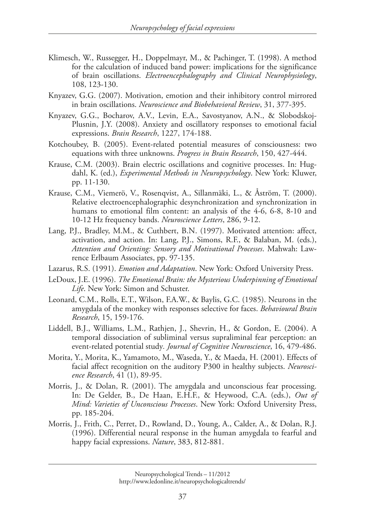- Klimesch, W., Russegger, H., Doppelmayr, M., & Pachinger, T. (1998). A method for the calculation of induced band power: implications for the significance of brain oscillations. *Electroencephalography and Clinical Neurophysiology*, 108, 123-130.
- Knyazev, G.G. (2007). Motivation, emotion and their inhibitory control mirrored in brain oscillations. *Neuroscience and Biobehavioral Review*, 31, 377-395.
- Knyazev, G.G., Bocharov, A.V., Levin, E.A., Savostyanov, A.N., & Slobodskoj-Plusnin, J.Y. (2008). Anxiety and oscillatory responses to emotional facial expressions. *Brain Research*, 1227, 174-188.
- Kotchoubey, B. (2005). Event-related potential measures of consciousness: two equations with three unknowns. *Progress in Brain Research*, 150, 427-444.
- Krause, C.M. (2003). Brain electric oscillations and cognitive processes. In: Hugdahl, K. (ed.), *Experimental Methods in Neuropsychology*. New York: Kluwer, pp. 11-130.
- Krause, C.M., Viemerö, V., Rosenqvist, A., Sillanmäki, L., & Åström, T. (2000). Relative electroencephalographic desynchronization and synchronization in humans to emotional film content: an analysis of the 4-6, 6-8, 8-10 and 10-12 Hz frequency bands. *Neuroscience Letters*, 286, 9-12.
- Lang, P.J., Bradley, M.M., & Cuthbert, B.N. (1997). Motivated attention: affect, activation, and action. In: Lang, P.J., Simons, R.F., & Balaban, M. (eds.), *Attention and Orienting: Sensory and Motivational Processes*. Mahwah: Lawrence Erlbaum Associates, pp. 97-135.
- Lazarus, R.S. (1991). *Emotion and Adaptation*. New York: Oxford University Press.
- LeDoux, J.E. (1996). *The Emotional Brain: the Mysterious Underpinning of Emotional Life*. New York: Simon and Schuster.
- Leonard, C.M., Rolls, E.T., Wilson, F.A.W., & Baylis, G.C. (1985). Neurons in the amygdala of the monkey with responses selective for faces. *Behavioural Brain Research*, 15, 159-176.
- Liddell, B.J., Williams, L.M., Rathjen, J., Shevrin, H., & Gordon, E. (2004). A temporal dissociation of subliminal versus supraliminal fear perception: an event-related potential study*. Journal of Cognitive Neuroscience*, 16, 479-486.
- Morita, Y., Morita, K., Yamamoto, M., Waseda, Y., & Maeda, H. (2001). Effects of facial affect recognition on the auditory P300 in healthy subjects. *Neuroscience Research*, 41 (1), 89-95.
- Morris, J., & Dolan, R. (2001). The amygdala and unconscious fear processing. In: De Gelder, B., De Haan, E.H.F., & Heywood, C.A. (eds.), *Out of Mind: Varieties of Unconscious Processes*. New York: Oxford University Press, pp. 185-204.
- Morris, J., Frith, C., Perret, D., Rowland, D., Young, A., Calder, A., & Dolan, R.J. (1996). Differential neural response in the human amygdala to fearful and happy facial expressions. *Nature*, 383, 812-881.

Neuropsychological Trends – 11/2012 http://www.ledonline.it/neuropsychologicaltrends/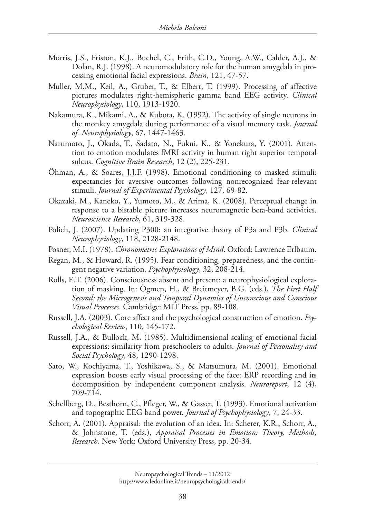- Morris, J.S., Friston, K.J., Buchel, C., Frith, C.D., Young, A.W., Calder, A.J., & Dolan, R.J. (1998). A neuromodulatory role for the human amygdala in processing emotional facial expressions. *Brain*, 121, 47-57.
- Muller, M.M., Keil, A., Gruber, T., & Elbert, T. (1999). Processing of affective pictures modulates right-hemispheric gamma band EEG activity. *Clinical Neurophysiology*, 110, 1913-1920.
- Nakamura, K., Mikami, A., & Kubota, K. (1992). The activity of single neurons in the monkey amygdala during performance of a visual memory task. *Journal of. Neurophysiology*, 67, 1447-1463.
- Narumoto, J., Okada, T., Sadato, N., Fukui, K., & Yonekura, Y. (2001). Attention to emotion modulates fMRI activity in human right superior temporal sulcus. *Cognitive Brain Research*, 12 (2), 225-231.
- Öhman, A., & Soares, J.J.F. (1998). Emotional conditioning to masked stimuli: expectancies for aversive outcomes following nonrecognized fear-relevant stimuli. *Journal of Experimental Psychology*, 127, 69-82.
- Okazaki, M., Kaneko, Y., Yumoto, M., & Arima, K. (2008). Perceptual change in response to a bistable picture increases neuromagnetic beta-band activities. *Neuroscience Research*, 61, 319-328.
- Polich, J. (2007). Updating P300: an integrative theory of P3a and P3b. *Clinical Neurophysiology*, 118, 2128-2148.
- Posner, M.I. (1978). *Chronometric Explorations of Mind*. Oxford: Lawrence Erlbaum.
- Regan, M., & Howard, R. (1995). Fear conditioning, preparedness, and the contingent negative variation. *Psychophysiology*, 32, 208-214.
- Rolls, E.T. (2006). Consciousness absent and present: a neurophysiological exploration of masking. In: Ögmen, H., & Breitmeyer, B.G. (eds.), *The First Half Second: the Microgenesis and Temporal Dynamics of Unconscious and Conscious Visual Processes*. Cambridge: MIT Press, pp. 89-108.
- Russell, J.A. (2003). Core affect and the psychological construction of emotion. *Psychological Review*, 110, 145-172.
- Russell, J.A., & Bullock, M. (1985). Multidimensional scaling of emotional facial expressions: similarity from preschoolers to adults. *Journal of Personality and Social Psychology*, 48, 1290-1298.
- Sato, W., Kochiyama, T., Yoshikawa, S., & Matsumura, M. (2001). Emotional expression boosts early visual processing of the face: ERP recording and its decomposition by independent component analysis. *Neuroreport*, 12 (4), 709-714.
- Schellberg, D., Besthorn, C., Pfleger, W., & Gasser, T. (1993). Emotional activation and topographic EEG band power. *Journal of Psychophysiology*, 7, 24-33.
- Schorr, A. (2001). Appraisal: the evolution of an idea. In: Scherer, K.R., Schorr, A., & Johnstone, T. (eds.), *Appraisal Processes in Emotion: Theory, Methods, Research*. New York: Oxford University Press, pp. 20-34.

Neuropsychological Trends – 11/2012 http://www.ledonline.it/neuropsychologicaltrends/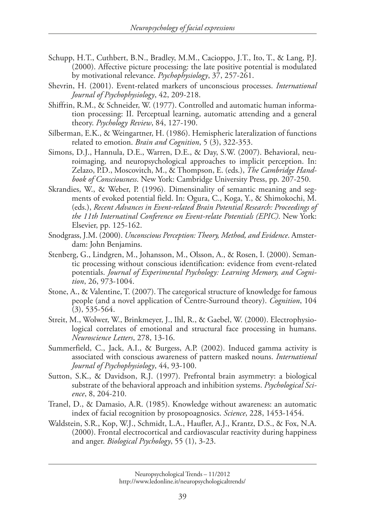- Schupp, H.T., Cuthbert, B.N., Bradley, M.M., Cacioppo, J.T., Ito, T., & Lang, P.J. (2000). Affective picture processing: the late positive potential is modulated by motivational relevance. *Psychophysiology*, 37, 257-261.
- Shevrin, H. (2001). Event-related markers of unconscious processes. *International Journal of Psychophysiology*, 42, 209-218.
- Shiffrin, R.M., & Schneider, W. (1977). Controlled and automatic human information processing: II. Perceptual learning, automatic attending and a general theory. *Psychology Review*, 84, 127-190.
- Silberman, E.K., & Weingartner, H. (1986). Hemispheric lateralization of functions related to emotion. *Brain and Cognition*, 5 (3), 322-353.
- Simons, D.J., Hannula, D.E., Warren, D.E., & Day, S.W. (2007). Behavioral, neuroimaging, and neuropsychological approaches to implicit perception. In: Zelazo, P.D., Moscovitch, M., & Thompson, E. (eds.), *The Cambridge Handbook of Consciousness*. New York: Cambridge University Press, pp. 207-250.
- Skrandies, W., & Weber, P. (1996). Dimensinality of semantic meaning and segments of evoked potential field. In: Ogura, C., Koga, Y., & Shimokochi, M. (eds.), *Recent Advances in Event-related Brain Potential Research: Proceedings of the 11th Internatinal Conference on Event-relate Potentials (EPIC)*. New York: Elsevier, pp. 125-162.
- Snodgrass, J.M. (2000). *Unconscious Perception: Theory, Method, and Evidence*. Amsterdam: John Benjamins.
- Stenberg, G., Lindgren, M., Johansson, M., Olsson, A., & Rosen, I. (2000). Semantic processing without conscious identification: evidence from event-related potentials. *Journal of Experimental Psychology: Learning Memory, and Cognition*, 26, 973-1004.
- Stone, A., & Valentine, T. (2007). The categorical structure of knowledge for famous people (and a novel application of Centre-Surround theory). *Cognition*, 104 (3), 535-564.
- Streit, M., Wolwer, W., Brinkmeyer, J., Ihl, R., & Gaebel, W. (2000). Electrophysiological correlates of emotional and structural face processing in humans. *Neuroscience Letters*, 278, 13-16.
- Summerfield, C., Jack, A.I., & Burgess, A.P. (2002). Induced gamma activity is associated with conscious awareness of pattern masked nouns. *International Journal of Psychophysiology*, 44, 93-100.
- Sutton, S.K., & Davidson, R.J. (1997). Prefrontal brain asymmetry: a biological substrate of the behavioral approach and inhibition systems. *Psychological Science*, 8, 204-210.
- Tranel, D., & Damasio, A.R. (1985). Knowledge without awareness: an automatic index of facial recognition by prosopoagnosics. *Science*, 228, 1453-1454.
- Waldstein, S.R., Kop, W.J., Schmidt, L.A., Haufler, A.J., Krantz, D.S., & Fox, N.A. (2000). Frontal electrocortical and cardiovascular reactivity during happiness and anger. *Biological Psychology*, 55 (1), 3-23.

Neuropsychological Trends – 11/2012 http://www.ledonline.it/neuropsychologicaltrends/